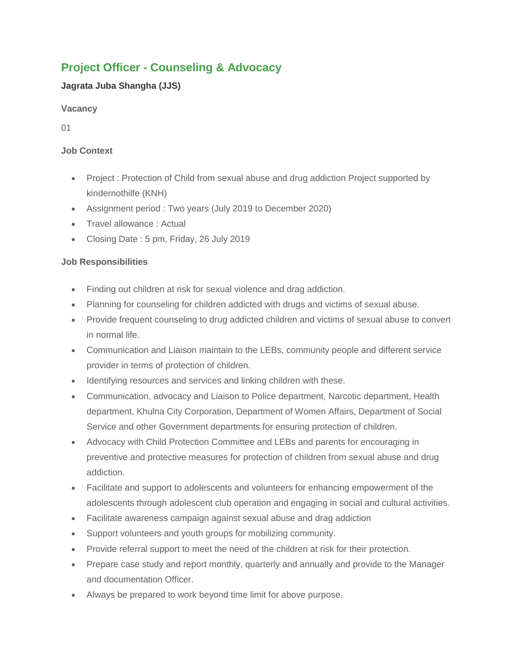# **Project Officer - Counseling & Advocacy**

## **Jagrata Juba Shangha (JJS)**

### **Vacancy**

01

### **Job Context**

- Project : Protection of Child from sexual abuse and drug addiction Project supported by kindernothilfe (KNH)
- Assignment period : Two years (July 2019 to December 2020)
- Travel allowance : Actual
- Closing Date : 5 pm, Friday, 26 July 2019

## **Job Responsibilities**

- Finding out children at risk for sexual violence and drag addiction.
- Planning for counseling for children addicted with drugs and victims of sexual abuse.
- Provide frequent counseling to drug addicted children and victims of sexual abuse to convert in normal life.
- Communication and Liaison maintain to the LEBs, community people and different service provider in terms of protection of children.
- Identifying resources and services and linking children with these.
- Communication, advocacy and Liaison to Police department, Narcotic department, Health department, Khulna City Corporation, Department of Women Affairs, Department of Social Service and other Government departments for ensuring protection of children.
- Advocacy with Child Protection Committee and LEBs and parents for encouraging in preventive and protective measures for protection of children from sexual abuse and drug addiction.
- Facilitate and support to adolescents and volunteers for enhancing empowerment of the adolescents through adolescent club operation and engaging in social and cultural activities.
- Facilitate awareness campaign against sexual abuse and drag addiction
- Support volunteers and youth groups for mobilizing community.
- Provide referral support to meet the need of the children at risk for their protection.
- Prepare case study and report monthly, quarterly and annually and provide to the Manager and documentation Officer.
- Always be prepared to work beyond time limit for above purpose.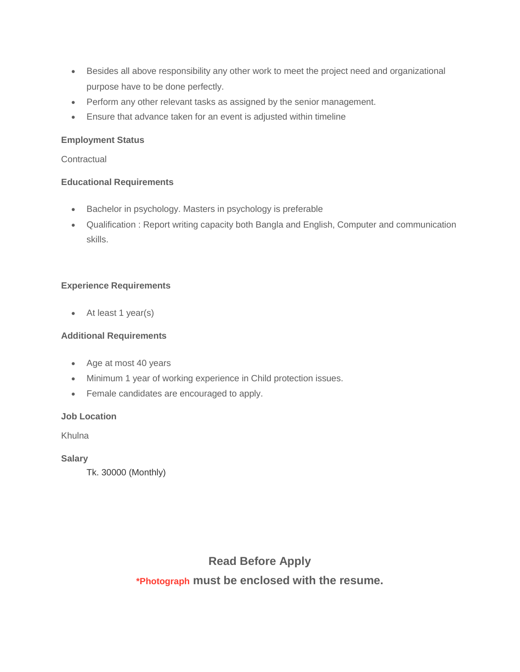- Besides all above responsibility any other work to meet the project need and organizational purpose have to be done perfectly.
- Perform any other relevant tasks as assigned by the senior management.
- Ensure that advance taken for an event is adjusted within timeline

#### **Employment Status**

**Contractual** 

#### **Educational Requirements**

- Bachelor in psychology. Masters in psychology is preferable
- Qualification : Report writing capacity both Bangla and English, Computer and communication skills.

#### **Experience Requirements**

• At least 1 year(s)

#### **Additional Requirements**

- Age at most 40 years
- Minimum 1 year of working experience in Child protection issues.
- Female candidates are encouraged to apply.

#### **Job Location**

Khulna

#### **Salary**

Tk. 30000 (Monthly)

## **Read Before Apply**

## **\*Photograph must be enclosed with the resume.**